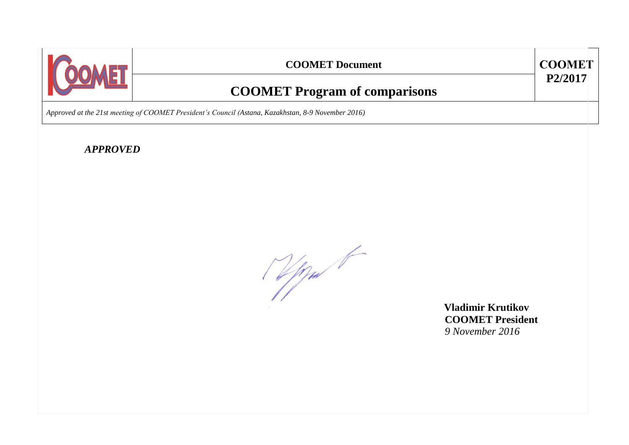

# **COOMET Document COOMET**

# **P2/2017**

# **COOMET Program of comparisons**

*Approved at the 21st meeting of COOMET President's Council (Astana, Kazakhstan, 8-9 November 2016)*

*APPROVED*

(Upper 1

 **Vladimir Krutikov COOMET President** *9 November 2016*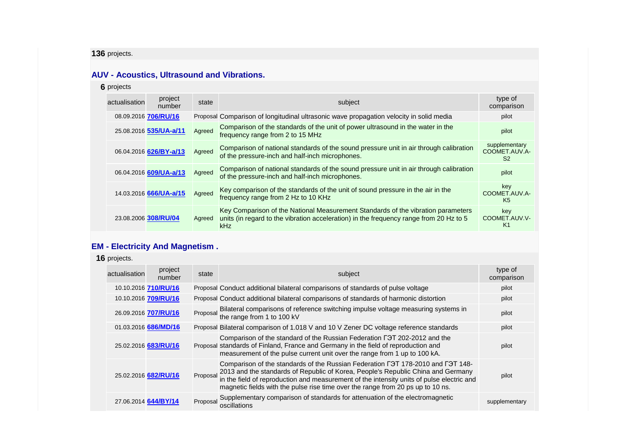# **136** projects.

#### **AUV - Acoustics, Ultrasound and Vibrations.**

#### **6** projects

| actualisation | project<br>number      | state  | subject                                                                                                                                                                                  | type of<br>comparison                            |
|---------------|------------------------|--------|------------------------------------------------------------------------------------------------------------------------------------------------------------------------------------------|--------------------------------------------------|
|               | 08.09.2016 706/RU/16   |        | Proposal Comparison of longitudinal ultrasonic wave propagation velocity in solid media                                                                                                  | pilot                                            |
|               | 25.08.2016 535/UA-a/11 | Agreed | Comparison of the standards of the unit of power ultrasound in the water in the<br>frequency range from 2 to 15 MHz                                                                      | pilot                                            |
|               | 06.04.2016 626/BY-a/13 | Agreed | Comparison of national standards of the sound pressure unit in air through calibration<br>of the pressure-inch and half-inch microphones.                                                | supplementary<br>COOMET.AUV.A-<br>S <sub>2</sub> |
|               | 06.04.2016 609/UA-a/13 | Agreed | Comparison of national standards of the sound pressure unit in air through calibration<br>of the pressure-inch and half-inch microphones.                                                | pilot                                            |
|               | 14.03.2016 666/UA-a/15 | Agreed | Key comparison of the standards of the unit of sound pressure in the air in the<br>frequency range from 2 Hz to 10 KHz                                                                   | key<br>COOMET.AUV.A-<br>K <sub>5</sub>           |
|               | 23.08.2006 308/RU/04   | Agreed | Key Comparison of the National Measurement Standards of the vibration parameters<br>units (in regard to the vibration acceleration) in the frequency range from 20 Hz to 5<br><b>kHz</b> | key<br>COOMET.AUV.V-<br>K1                       |

# **EM - Electricity And Magnetism .**

**16** projects.

| actualisation | project<br>number    | state    | subject                                                                                                                                                                                                                                                                                                                                                      | type of<br>comparison |
|---------------|----------------------|----------|--------------------------------------------------------------------------------------------------------------------------------------------------------------------------------------------------------------------------------------------------------------------------------------------------------------------------------------------------------------|-----------------------|
|               | 10.10.2016 710/RU/16 |          | Proposal Conduct additional bilateral comparisons of standards of pulse voltage                                                                                                                                                                                                                                                                              | pilot                 |
|               | 10.10.2016 709/RU/16 |          | Proposal Conduct additional bilateral comparisons of standards of harmonic distortion                                                                                                                                                                                                                                                                        | pilot                 |
|               | 26.09.2016 707/RU/16 |          | Proposal Bilateral comparisons of reference switching impulse voltage measuring systems in the range from 1 to 100 kV                                                                                                                                                                                                                                        | pilot                 |
|               | 01.03.2016 686/MD/16 |          | Proposal Bilateral comparison of 1.018 V and 10 V Zener DC voltage reference standards                                                                                                                                                                                                                                                                       | pilot                 |
|               | 25.02.2016 683/RU/16 |          | Comparison of the standard of the Russian Federation F3T 202-2012 and the<br>Proposal standards of Finland, France and Germany in the field of reproduction and<br>measurement of the pulse current unit over the range from 1 up to 100 kA.                                                                                                                 | pilot                 |
|               | 25.02.2016 682/RU/16 |          | Comparison of the standards of the Russian Federation F3T 178-2010 and F3T 148-<br>Proposal 2013 and the standards of Republic of Korea, People's Republic China and Germany<br>in the field of reproduction and measurement of the intensity units of pulse electric and<br>magnetic fields with the pulse rise time over the range from 20 ps up to 10 ns. | pilot                 |
|               | 27.06.2014 644/BY/14 | Proposal | Supplementary comparison of standards for attenuation of the electromagnetic<br>oscillations                                                                                                                                                                                                                                                                 | supplementary         |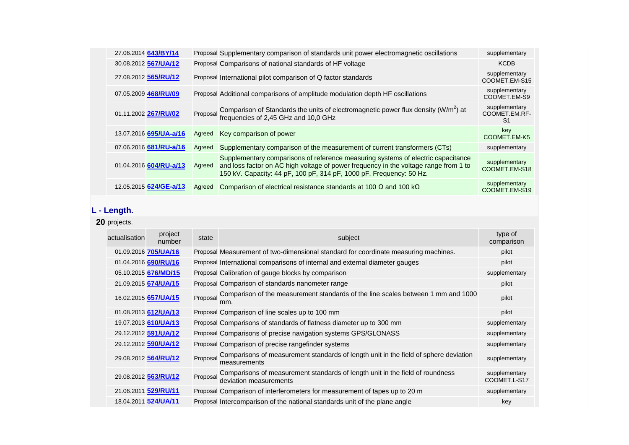| 27.06.2014 643/BY/14   |        | Proposal Supplementary comparison of standards unit power electromagnetic oscillations                                                                                                                                                          | supplementary                                    |
|------------------------|--------|-------------------------------------------------------------------------------------------------------------------------------------------------------------------------------------------------------------------------------------------------|--------------------------------------------------|
| 30.08.2012 567/UA/12   |        | Proposal Comparisons of national standards of HF voltage                                                                                                                                                                                        | <b>KCDB</b>                                      |
| 27.08.2012 565/RU/12   |        | Proposal International pilot comparison of Q factor standards                                                                                                                                                                                   | supplementary<br>COOMET.EM-S15                   |
| 07.05.2009 468/RU/09   |        | Proposal Additional comparisons of amplitude modulation depth HF oscillations                                                                                                                                                                   | supplementary<br>COOMET.EM-S9                    |
| 01.11.2002 267/RU/02   |        | Proposal Comparison of Standards the units of electromagnetic power flux density $(W/m^2)$ at frequencies of 2,45 GHz and 10,0 GHz                                                                                                              | supplementary<br>COOMET.EM.RF-<br>S <sub>1</sub> |
| 13.07.2016 695/UA-a/16 | Agreed | Key comparison of power                                                                                                                                                                                                                         | key<br>COOMET.EM-K5                              |
| 07.06.2016 681/RU-a/16 | Agreed | Supplementary comparison of the measurement of current transformers (CTs)                                                                                                                                                                       | supplementary                                    |
| 01.04.2016 604/RU-a/13 | Agreed | Supplementary comparisons of reference measuring systems of electric capacitance<br>and loss factor on AC high voltage of power frequency in the voltage range from 1 to<br>150 kV. Capacity: 44 pF, 100 pF, 314 pF, 1000 pF, Frequency: 50 Hz. | supplementary<br>COOMET.EM-S18                   |
| 12.05.2015 624/GE-a/13 | Agreed | Comparison of electrical resistance standards at 100 $\Omega$ and 100 k $\Omega$                                                                                                                                                                | supplementary<br>COOMET.EM-S19                   |

# **L - Length.**

**20** projects.

| actualisation | project<br>number    | state | subject                                                                                                          | type of<br>comparison         |
|---------------|----------------------|-------|------------------------------------------------------------------------------------------------------------------|-------------------------------|
|               | 01.09.2016 705/UA/16 |       | Proposal Measurement of two-dimensional standard for coordinate measuring machines.                              | pilot                         |
|               | 01.04.2016 690/RU/16 |       | Proposal International comparisons of internal and external diameter gauges                                      | pilot                         |
|               | 05.10.2015 676/MD/15 |       | Proposal Calibration of gauge blocks by comparison                                                               | supplementary                 |
|               | 21.09.2015 674/UA/15 |       | Proposal Comparison of standards nanometer range                                                                 | pilot                         |
|               | 16.02.2015 657/UA/15 |       | Proposal Comparison of the measurement standards of the line scales between 1 mm and 1000<br>mm.                 | pilot                         |
|               | 01.08.2013 612/UA/13 |       | Proposal Comparison of line scales up to 100 mm                                                                  | pilot                         |
|               | 19.07.2013 610/UA/13 |       | Proposal Comparisons of standards of flatness diameter up to 300 mm                                              | supplementary                 |
|               | 29.12.2012 591/UA/12 |       | Proposal Comparisons of precise navigation systems GPS/GLONASS                                                   | supplementary                 |
|               | 29.12.2012 590/UA/12 |       | Proposal Comparison of precise rangefinder systems                                                               | supplementary                 |
|               | 29.08.2012 564/RU/12 |       | Proposal Comparisons of measurement standards of length unit in the field of sphere deviation<br>measurements    | supplementary                 |
|               | 29.08.2012 563/RU/12 |       | Proposal Comparisons of measurement standards of length unit in the field of roundness<br>deviation measurements | supplementary<br>COOMET.L-S17 |
|               | 21.06.2011 529/RU/11 |       | Proposal Comparison of interferometers for measurement of tapes up to 20 m                                       | supplementary                 |
|               | 18.04.2011 524/UA/11 |       | Proposal Intercomparison of the national standards unit of the plane angle                                       | key                           |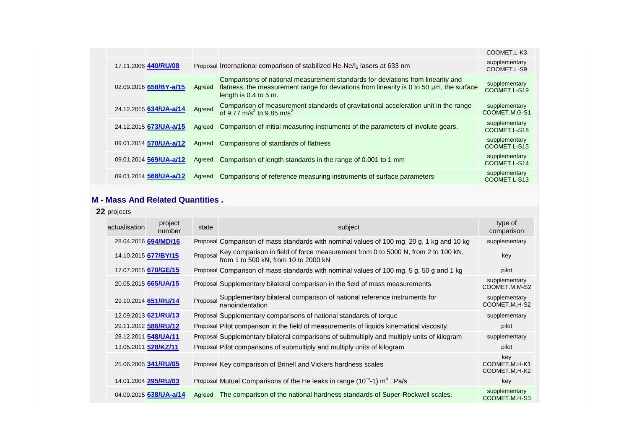|  |                               |        |                                                                                                                                                                                                      | COOMET.L-K3                    |
|--|-------------------------------|--------|------------------------------------------------------------------------------------------------------------------------------------------------------------------------------------------------------|--------------------------------|
|  | 17.11.2008 440/RU/08          |        | Proposal International comparison of stabilized He-Ne/l <sub>2</sub> lasers at 633 nm                                                                                                                | supplementary<br>COOMET.L-S9   |
|  | 02.09.2016 658/BY-a/15        | Agreed | Comparisons of national measurement standards for deviations from linearity and<br>flatness; the measurement range for deviations from linearity is 0 to 50 µm, the surface<br>length is 0.4 to 5 m. | supplementary<br>COOMET.L-S19  |
|  | 24.12.2015 634/UA-a/14        | Agreed | Comparison of measurement standards of gravitational acceleration unit in the range<br>of 9.77 m/s <sup>2</sup> to 9.85 m/s <sup>2</sup>                                                             | supplementary<br>COOMET.M.G-S1 |
|  | 24.12.2015 <b>673/UA-a/15</b> | Agreed | Comparison of initial measuring instruments of the parameters of involute gears.                                                                                                                     | supplementary<br>COOMET.L-S18  |
|  | 09.01.2014 570/UA-a/12        | Agreed | Comparisons of standards of flatness                                                                                                                                                                 | supplementary<br>COOMET.L-S15  |
|  | 09.01.2014 569/UA-a/12        | Agreed | Comparison of length standards in the range of 0.001 to 1 mm                                                                                                                                         | supplementary<br>COOMET.L-S14  |
|  | 09.01.2014 568/UA-a/12        | Agreed | Comparisons of reference measuring instruments of surface parameters                                                                                                                                 | supplementary<br>COOMET.L-S13  |

#### **M - Mass And Related Quantities .**

| 22 projects   |                             |        |                                                                                                                                |                                       |
|---------------|-----------------------------|--------|--------------------------------------------------------------------------------------------------------------------------------|---------------------------------------|
| actualisation | project<br>number           | state  | subject                                                                                                                        | type of<br>comparison                 |
|               | 28.04.2016 694/MD/16        |        | Proposal Comparison of mass standards with nominal values of 100 mg, 20 g, 1 kg and 10 kg                                      | supplementary                         |
|               | 14.10.2015 677/BY/15        |        | Proposal Key comparison in field of force measurement from 0 to 5000 N, from 2 to 100 kN, from 1 to 500 kN, from 10 to 2000 kN | key                                   |
|               | 17.07.2015 670/GE/15        |        | Proposal Comparison of mass standards with nominal values of 100 mg, 5 g, 50 g and 1 kg                                        | pilot                                 |
|               | 20.05.2015 <b>665/UA/15</b> |        | Proposal Supplementary bilateral comparison in the field of mass measurements                                                  | supplementary<br>COOMET.M.M-S2        |
|               | 29.10.2014 651/RU/14        |        | Proposal Supplementary bilateral comparison of national reference instruments for<br>nanoindentation                           | supplementary<br>COOMET.M.H-S2        |
|               | 12.09.2013 621/RU/13        |        | Proposal Supplementary comparisons of national standards of torque                                                             | supplementary                         |
|               | 29.11.2012 586/RU/12        |        | Proposal Pilot comparison in the field of measurements of liquids kinematical viscosity.                                       | pilot                                 |
|               | 28.12.2011 548/UA/11        |        | Proposal Supplementary bilateral comparisons of submultiply and multiply units of kilogram                                     | supplementary                         |
|               | 13.05.2011 <b>528/KZ/11</b> |        | Proposal Pilot comparisons of submultiply and multiply units of kilogram                                                       | pilot                                 |
|               | 25.06.2005 341/RU/05        |        | Proposal Key comparison of Brinell and Vickers hardness scales                                                                 | key<br>COOMET.M.H-K1<br>COOMET.M.H-K2 |
|               | 14.01.2004 295/RU/03        |        | Proposal Mutual Comparisons of the He leaks in range ( $10^{-6}$ -1) m <sup>3</sup> . Pa/s                                     | key                                   |
|               | 04.09.2015 638/UA-a/14      | Agreed | The comparison of the national hardness standards of Super-Rockwell scales.                                                    | supplementary<br>COOMET.M.H-S3        |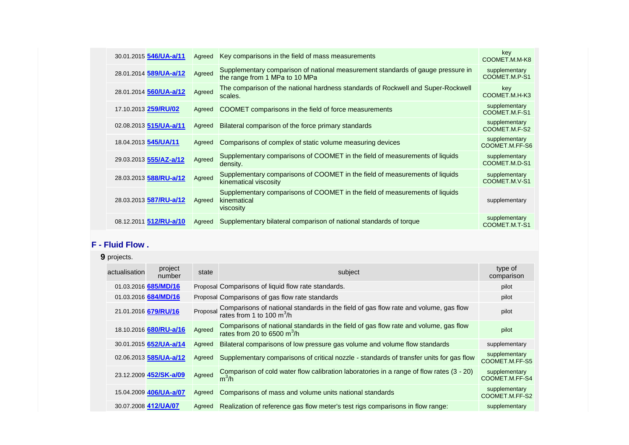| 30.01.2015 546/UA-a/11        | Agreed | Key comparisons in the field of mass measurements                                                                 | key<br>COOMET.M.M-K8            |
|-------------------------------|--------|-------------------------------------------------------------------------------------------------------------------|---------------------------------|
| 28.01.2014 589/UA-a/12        | Agreed | Supplementary comparison of national measurement standards of gauge pressure in<br>the range from 1 MPa to 10 MPa | supplementary<br>COOMET.M.P-S1  |
| 28.01.2014 560/UA-a/12        | Agreed | The comparison of the national hardness standards of Rockwell and Super-Rockwell<br>scales.                       | key<br>COOMET.M.H-K3            |
| 17.10.2013 259/RU/02          | Agreed | COOMET comparisons in the field of force measurements                                                             | supplementary<br>COOMET.M.F-S1  |
| 02.08.2013 515/UA-a/11        | Agreed | Bilateral comparison of the force primary standards                                                               | supplementary<br>COOMET.M.F-S2  |
| 18.04.2013 545/UA/11          | Agreed | Comparisons of complex of static volume measuring devices                                                         | supplementary<br>COOMET.M.FF-S6 |
| 29.03.2013 555/AZ-a/12        | Agreed | Supplementary comparisons of COOMET in the field of measurements of liquids<br>density.                           | supplementary<br>COOMET.M.D-S1  |
| 28.03.2013 <b>588/RU-a/12</b> | Agreed | Supplementary comparisons of COOMET in the field of measurements of liquids<br>kinematical viscosity              | supplementary<br>COOMET.M.V-S1  |
| 28.03.2013 587/RU-a/12        | Agreed | Supplementary comparisons of COOMET in the field of measurements of liquids<br>kinematical<br>viscosity           | supplementary                   |
| 08.12.2011 512/RU-a/10        | Agreed | Supplementary bilateral comparison of national standards of torque                                                | supplementary<br>COOMET.M.T-S1  |

#### **F - Fluid Flow .**

| 9 projects.   |                        |        |                                                                                                                                        |                                 |  |
|---------------|------------------------|--------|----------------------------------------------------------------------------------------------------------------------------------------|---------------------------------|--|
| actualisation | project<br>number      | state  | subject                                                                                                                                | type of<br>comparison           |  |
|               | 01.03.2016 685/MD/16   |        | Proposal Comparisons of liquid flow rate standards.                                                                                    | pilot                           |  |
|               | 01.03.2016 684/MD/16   |        | Proposal Comparisons of gas flow rate standards                                                                                        | pilot                           |  |
|               | 21.01.2016 679/RU/16   |        | Proposal Comparisons of national standards in the field of gas flow rate and volume, gas flow<br>rates from 1 to 100 m <sup>3</sup> /h | pilot                           |  |
|               | 18.10.2016 680/RU-a/16 | Agreed | Comparisons of national standards in the field of gas flow rate and volume, gas flow<br>rates from 20 to 6500 $m^3/h$                  | pilot                           |  |
|               | 30.01.2015 652/UA-a/14 | Agreed | Bilateral comparisons of low pressure gas volume and volume flow standards                                                             | supplementary                   |  |
|               | 02.06.2013 585/UA-a/12 | Agreed | Supplementary comparisons of critical nozzle - standards of transfer units for gas flow                                                | supplementary<br>COOMET.M.FF-S5 |  |
|               | 23.12.2009 452/SK-a/09 | Agreed | Comparison of cold water flow calibration laboratories in a range of flow rates (3 - 20)<br>$m^3/h$                                    | supplementary<br>COOMET.M.FF-S4 |  |
|               | 15.04.2009 406/UA-a/07 | Agreed | Comparisons of mass and volume units national standards                                                                                | supplementary<br>COOMET.M.FF-S2 |  |
|               | 30.07.2008 412/UA/07   | Agreed | Realization of reference gas flow meter's test rigs comparisons in flow range:                                                         | supplementary                   |  |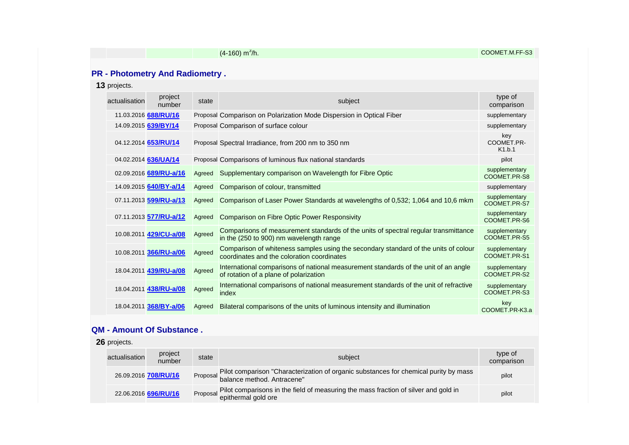|               |                                        |        | $(4-160)$ m <sup>3</sup> /h.                                                                                                      | COOMET.M.FF-S3                |
|---------------|----------------------------------------|--------|-----------------------------------------------------------------------------------------------------------------------------------|-------------------------------|
|               |                                        |        |                                                                                                                                   |                               |
|               | <b>PR - Photometry And Radiometry.</b> |        |                                                                                                                                   |                               |
| 13 projects.  |                                        |        |                                                                                                                                   |                               |
| actualisation | project<br>number                      | state  | subject                                                                                                                           | type of<br>comparison         |
|               | 11.03.2016 688/RU/16                   |        | Proposal Comparison on Polarization Mode Dispersion in Optical Fiber                                                              | supplementary                 |
|               | 14.09.2015 639/BY/14                   |        | Proposal Comparison of surface colour                                                                                             | supplementary                 |
|               | 04.12.2014 653/RU/14                   |        | Proposal Spectral Irradiance, from 200 nm to 350 nm                                                                               | key<br>COOMET.PR-<br>K1.b.1   |
|               | 04.02.2014 636/UA/14                   |        | Proposal Comparisons of luminous flux national standards                                                                          | pilot                         |
|               | 02.09.2016 689/RU-a/16                 | Agreed | Supplementary comparison on Wavelength for Fibre Optic                                                                            | supplementary<br>COOMET.PR-S8 |
|               | 14.09.2015 640/BY-a/14                 | Agreed | Comparison of colour, transmitted                                                                                                 | supplementary                 |
|               | 07.11.2013 599/RU-a/13                 | Agreed | Comparison of Laser Power Standards at wavelengths of 0,532; 1,064 and 10,6 mkm                                                   | supplementary<br>COOMET.PR-S7 |
|               | 07.11.2013 577/RU-a/12                 | Agreed | <b>Comparison on Fibre Optic Power Responsivity</b>                                                                               | supplementary<br>COOMET.PR-S6 |
|               | 10.08.2011 429/CU-a/08                 | Agreed | Comparisons of measurement standards of the units of spectral regular transmittance<br>in the (250 to 900) nm wavelength range    | supplementary<br>COOMET.PR-S5 |
|               | 10.08.2011 366/RU-a/06                 | Agreed | Comparison of whiteness samples using the secondary standard of the units of colour<br>coordinates and the coloration coordinates | supplementary<br>COOMET.PR-S1 |
|               | 18.04.2011 439/RU-a/08                 | Agreed | International comparisons of national measurement standards of the unit of an angle<br>of rotation of a plane of polarization     | supplementary<br>COOMET.PR-S2 |
|               | 18.04.2011 438/RU-a/08                 | Agreed | International comparisons of national measurement standards of the unit of refractive<br>index                                    | supplementary<br>COOMET.PR-S3 |
|               | 18.04.2011 368/BY-a/06                 | Agreed | Bilateral comparisons of the units of luminous intensity and illumination                                                         | key<br>COOMET.PR-K3.a         |

#### **QM - Amount Of Substance .**

| 26 projects.  |                      |       |                                                                                                                  |                       |  |
|---------------|----------------------|-------|------------------------------------------------------------------------------------------------------------------|-----------------------|--|
| actualisation | project<br>number    | state | subject                                                                                                          | type of<br>comparison |  |
|               | 26.09.2016 708/RU/16 |       | Proposal Pilot comparison "Characterization of organic substances for chemical purity by mass                    | pilot                 |  |
|               | 22.06.2016 696/RU/16 |       | Proposal Pilot comparisons in the field of measuring the mass fraction of silver and gold in epithermal gold ore | pilot                 |  |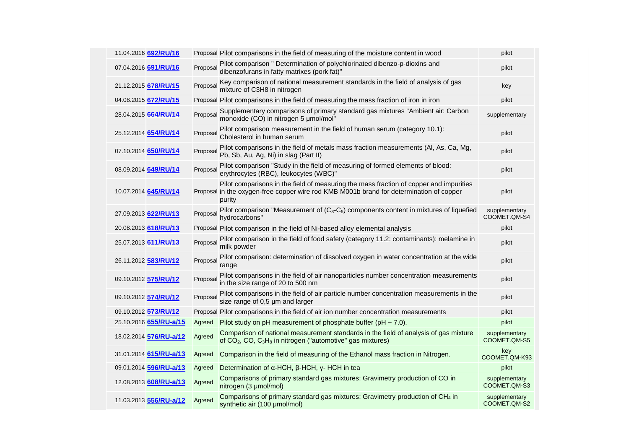| 11.04.2016 692/RU/16   |          | Proposal Pilot comparisons in the field of measuring of the moisture content in wood                                                                                                        | pilot                         |
|------------------------|----------|---------------------------------------------------------------------------------------------------------------------------------------------------------------------------------------------|-------------------------------|
| 07.04.2016 691/RU/16   | Proposal | Pilot comparison " Determination of polychlorinated dibenzo-p-dioxins and<br>dibenzofurans in fatty matrixes (pork fat)"                                                                    | pilot                         |
| 21.12.2015 678/RU/15   | Proposal | Key comparison of national measurement standards in the field of analysis of gas<br>mixture of C3H8 in nitrogen                                                                             | key                           |
| 04.08.2015 672/RU/15   |          | Proposal Pilot comparisons in the field of measuring the mass fraction of iron in iron                                                                                                      | pilot                         |
| 28.04.2015 664/RU/14   | Proposal | Supplementary comparisons of primary standard gas mixtures "Ambient air: Carbon<br>monoxide (CO) in nitrogen 5 umol/mol"                                                                    | supplementary                 |
| 25.12.2014 654/RU/14   | Proposal | Pilot comparison measurement in the field of human serum (category 10.1):<br>Cholesterol in human serum                                                                                     | pilot                         |
| 07.10.2014 650/RU/14   | Proposal | Pilot comparisons in the field of metals mass fraction measurements (Al, As, Ca, Mg,<br>Pb, Sb, Au, Ag, Ni) in slag (Part II)                                                               | pilot                         |
| 08.09.2014 649/RU/14   | Proposal | Pilot comparison "Study in the field of measuring of formed elements of blood:<br>erythrocytes (RBC), leukocytes (WBC)"                                                                     | pilot                         |
| 10.07.2014 645/RU/14   |          | Pilot comparisons in the field of measuring the mass fraction of copper and impurities<br>Proposal in the oxygen-free copper wire rod KMB M001b brand for determination of copper<br>purity | pilot                         |
| 27.09.2013 622/RU/13   | Proposal | Pilot comparison "Measurement of $(C_3-C_5)$ components content in mixtures of liquefied<br>hydrocarbons"                                                                                   | supplementary<br>COOMET.QM-S4 |
| 20.08.2013 618/RU/13   |          | Proposal Pilot comparison in the field of Ni-based alloy elemental analysis                                                                                                                 | pilot                         |
| 25.07.2013 611/RU/13   | Proposal | Pilot comparison in the field of food safety (category 11.2: contaminants): melamine in<br>milk powder                                                                                      | pilot                         |
| 26.11.2012 583/RU/12   | Proposal | Pilot comparison: determination of dissolved oxygen in water concentration at the wide<br>range                                                                                             | pilot                         |
| 09.10.2012 575/RU/12   | Proposal | Pilot comparisons in the field of air nanoparticles number concentration measurements<br>in the size range of 20 to 500 nm                                                                  | pilot                         |
| 09.10.2012 574/RU/12   | Proposal | Pilot comparisons in the field of air particle number concentration measurements in the size range of 0,5 µm and larger                                                                     | pilot                         |
| 09.10.2012 573/RU/12   |          | Proposal Pilot comparisons in the field of air ion number concentration measurements                                                                                                        | pilot                         |
| 25.10.2016 655/RU-a/15 | Agreed   | Pilot study on pH measurement of phosphate buffer ( $pH \sim 7.0$ ).                                                                                                                        | pilot                         |
| 18.02.2014 576/RU-a/12 | Agreed   | Comparison of national measurement standards in the field of analysis of gas mixture<br>of CO <sub>2</sub> , CO, C <sub>3</sub> H <sub>8</sub> in nitrogen ("automotive" gas mixtures)      | supplementary<br>COOMET.QM-S5 |
| 31.01.2014 615/RU-a/13 | Agreed   | Comparison in the field of measuring of the Ethanol mass fraction in Nitrogen.                                                                                                              | key<br>COOMET.QM-K93          |
| 09.01.2014 596/RU-a/13 | Agreed   | Determination of $\alpha$ -HCH, $\beta$ -HCH, $\gamma$ -HCH in tea                                                                                                                          | pilot                         |
| 12.08.2013 608/RU-a/13 | Agreed   | Comparisons of primary standard gas mixtures: Gravimetry production of CO in<br>nitrogen (3 µmol/mol)                                                                                       | supplementary<br>COOMET.QM-S3 |
| 11.03.2013 556/RU-a/12 | Agreed   | Comparisons of primary standard gas mixtures: Gravimetry production of CH <sub>4</sub> in<br>synthetic air (100 µmol/mol)                                                                   | supplementary<br>COOMET.QM-S2 |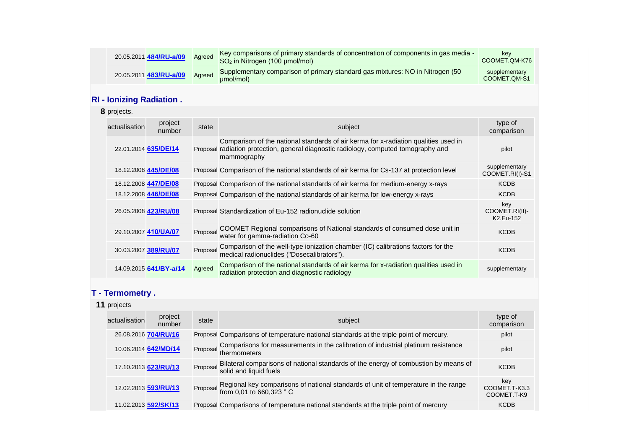| 20.05.2011 484/RU-a/09             | Agreed   | Key comparisons of primary standards of concentration of components in gas media -<br>SO <sub>2</sub> in Nitrogen (100 µmol/mol)                                                           | key<br>COOMET.QM-K76               |  |  |  |  |  |
|------------------------------------|----------|--------------------------------------------------------------------------------------------------------------------------------------------------------------------------------------------|------------------------------------|--|--|--|--|--|
| 20.05.2011 483/RU-a/09             | Agreed   | Supplementary comparison of primary standard gas mixtures: NO in Nitrogen (50)<br>umol/mol)                                                                                                | supplementary<br>COOMET.QM-S1      |  |  |  |  |  |
| <b>RI</b> - Ionizing Radiation.    |          |                                                                                                                                                                                            |                                    |  |  |  |  |  |
| 8 projects.                        |          |                                                                                                                                                                                            |                                    |  |  |  |  |  |
| project<br>actualisation<br>number | state    | subject                                                                                                                                                                                    | type of<br>comparison              |  |  |  |  |  |
| 22.01.2014 635/DE/14               |          | Comparison of the national standards of air kerma for x-radiation qualities used in<br>Proposal radiation protection, general diagnostic radiology, computed tomography and<br>mammography | pilot                              |  |  |  |  |  |
| 18.12.2008 445/DE/08               |          | Proposal Comparison of the national standards of air kerma for Cs-137 at protection level                                                                                                  | supplementary<br>COOMET.RI(I)-S1   |  |  |  |  |  |
| 18.12.2008 447/DE/08               |          | Proposal Comparison of the national standards of air kerma for medium-energy x-rays                                                                                                        | <b>KCDB</b>                        |  |  |  |  |  |
| 18.12.2008 446/DE/08               |          | Proposal Comparison of the national standards of air kerma for low-energy x-rays                                                                                                           | <b>KCDB</b>                        |  |  |  |  |  |
| 26.05.2008 423/RU/08               |          | Proposal Standardization of Eu-152 radionuclide solution                                                                                                                                   | key<br>COOMET.RI(II)-<br>K2.Eu-152 |  |  |  |  |  |
| 29.10.2007 410/UA/07               | Proposal | COOMET Regional comparisons of National standards of consumed dose unit in<br>water for gamma-radiation Co-60                                                                              | <b>KCDB</b>                        |  |  |  |  |  |
| 30.03.2007 389/RU/07               | Proposal | Comparison of the well-type ionization chamber (IC) calibrations factors for the<br>medical radionuclides ("Dosecalibrators").                                                             | <b>KCDB</b>                        |  |  |  |  |  |
| 14.09.2015 641/BY-a/14             | Agreed   | Comparison of the national standards of air kerma for x-radiation qualities used in<br>radiation protection and diagnostic radiology                                                       | supplementary                      |  |  |  |  |  |
| T - Termometry.                    |          |                                                                                                                                                                                            |                                    |  |  |  |  |  |
| 11 projects                        |          |                                                                                                                                                                                            |                                    |  |  |  |  |  |

| project<br>actualisation<br>subject<br>state<br>number<br>26.08.2016 704/RU/16<br>Proposal Comparisons of temperature national standards at the triple point of mercury.<br>Proposal Comparisons for measurements in the calibration of industrial platinum resistance<br>thermometers<br>10.06.2014 642/MD/14<br>Proposal Bilateral comparisons of national standards of the energy of combustion by means of solid and liquid fuels<br>17.10.2013 623/RU/13<br>Proposal Regional key comparisons of national standards of unit of temperature in the range<br>from 0,01 to 660,323 ° C<br>12.02.2013 593/RU/13<br>11.02.2013 592/SK/13<br>Proposal Comparisons of temperature national standards at the triple point of mercury |  |  |                                     |
|-----------------------------------------------------------------------------------------------------------------------------------------------------------------------------------------------------------------------------------------------------------------------------------------------------------------------------------------------------------------------------------------------------------------------------------------------------------------------------------------------------------------------------------------------------------------------------------------------------------------------------------------------------------------------------------------------------------------------------------|--|--|-------------------------------------|
|                                                                                                                                                                                                                                                                                                                                                                                                                                                                                                                                                                                                                                                                                                                                   |  |  | type of<br>comparison               |
|                                                                                                                                                                                                                                                                                                                                                                                                                                                                                                                                                                                                                                                                                                                                   |  |  | pilot                               |
|                                                                                                                                                                                                                                                                                                                                                                                                                                                                                                                                                                                                                                                                                                                                   |  |  | pilot                               |
|                                                                                                                                                                                                                                                                                                                                                                                                                                                                                                                                                                                                                                                                                                                                   |  |  | <b>KCDB</b>                         |
|                                                                                                                                                                                                                                                                                                                                                                                                                                                                                                                                                                                                                                                                                                                                   |  |  | key<br>COOMET.T-K3.3<br>COOMET.T-K9 |
|                                                                                                                                                                                                                                                                                                                                                                                                                                                                                                                                                                                                                                                                                                                                   |  |  | <b>KCDB</b>                         |